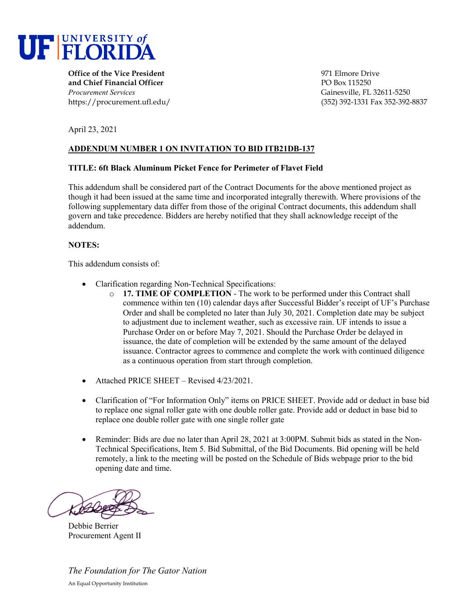

**Office of the Vice President** 2002 2003 2004 12:00 2009 971 Elmore Drive **and Chief Financial Officer PO Box 115250** *Procurement Services* Gainesville, FL 32611-5250

https://procurement.ufl.edu/ (352) 392-1331 Fax 352-392-8837

April 23, 2021

# **ADDENDUM NUMBER 1 ON INVITATION TO BID ITB21DB-137**

### **TITLE: 6ft Black Aluminum Picket Fence for Perimeter of Flavet Field**

This addendum shall be considered part of the Contract Documents for the above mentioned project as though it had been issued at the same time and incorporated integrally therewith. Where provisions of the following supplementary data differ from those of the original Contract documents, this addendum shall govern and take precedence. Bidders are hereby notified that they shall acknowledge receipt of the addendum.

## **NOTES:**

This addendum consists of:

- Clarification regarding Non-Technical Specifications:
	- o **17. TIME OF COMPLETION** The work to be performed under this Contract shall commence within ten (10) calendar days after Successful Bidder's receipt of UF's Purchase Order and shall be completed no later than July 30, 2021. Completion date may be subject to adjustment due to inclement weather, such as excessive rain. UF intends to issue a Purchase Order on or before May 7, 2021. Should the Purchase Order be delayed in issuance, the date of completion will be extended by the same amount of the delayed issuance. Contractor agrees to commence and complete the work with continued diligence as a continuous operation from start through completion.
- Attached PRICE SHEET Revised 4/23/2021.
- Clarification of "For Information Only" items on PRICE SHEET. Provide add or deduct in base bid to replace one signal roller gate with one double roller gate. Provide add or deduct in base bid to replace one double roller gate with one single roller gate
- Reminder: Bids are due no later than April 28, 2021 at 3:00PM. Submit bids as stated in the Non-Technical Specifications, Item 5. Bid Submittal, of the Bid Documents. Bid opening will be held remotely, a link to the meeting will be posted on the Schedule of Bids webpage prior to the bid opening date and time.

l

Debbie Berrier Procurement Agent II

*The Foundation for The Gator Nation*  An Equal Opportunity Institution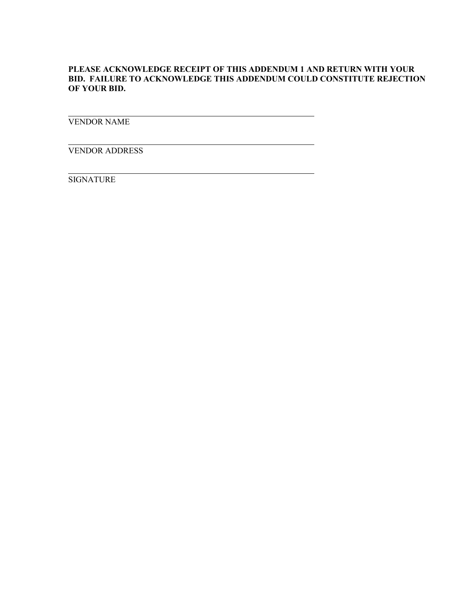## **PLEASE ACKNOWLEDGE RECEIPT OF THIS ADDENDUM 1 AND RETURN WITH YOUR BID. FAILURE TO ACKNOWLEDGE THIS ADDENDUM COULD CONSTITUTE REJECTION OF YOUR BID.**

VENDOR NAME

VENDOR ADDRESS

SIGNATURE